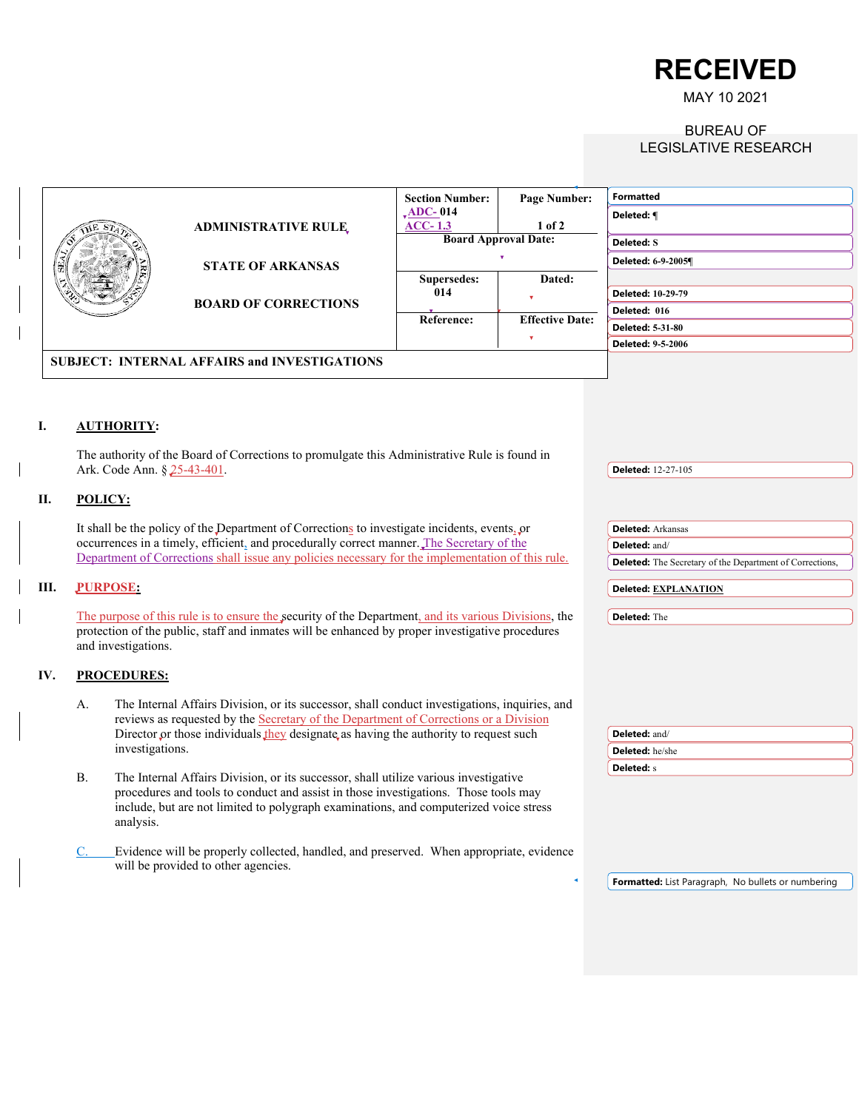**RECEIVED**

MAY 10 2021

## BUREAU OF LEGISLATIVE RESEARCH

|  |     |           |                             |                                                                                                                                                                                                                                                                      | <b>Section Number:</b>                             | Page Number:           | <b>Formatted</b>                                                |
|--|-----|-----------|-----------------------------|----------------------------------------------------------------------------------------------------------------------------------------------------------------------------------------------------------------------------------------------------------------------|----------------------------------------------------|------------------------|-----------------------------------------------------------------|
|  |     |           |                             |                                                                                                                                                                                                                                                                      | $\sqrt{\text{ADC}-014}$                            |                        | Deleted: ¶                                                      |
|  |     |           |                             | <b>ADMINISTRATIVE RULE,</b>                                                                                                                                                                                                                                          | $ACC-1.3$                                          | 1 of 2                 |                                                                 |
|  |     |           |                             |                                                                                                                                                                                                                                                                      | <b>Board Approval Date:</b>                        |                        | Deleted: S                                                      |
|  |     |           |                             | <b>STATE OF ARKANSAS</b>                                                                                                                                                                                                                                             |                                                    |                        | Deleted: 6-9-2005¶                                              |
|  |     |           |                             |                                                                                                                                                                                                                                                                      | Supersedes:                                        | Dated:                 |                                                                 |
|  |     |           |                             | <b>BOARD OF CORRECTIONS</b>                                                                                                                                                                                                                                          | 014                                                |                        | Deleted: 10-29-79                                               |
|  |     |           |                             |                                                                                                                                                                                                                                                                      |                                                    |                        | Deleted: 016                                                    |
|  |     |           |                             |                                                                                                                                                                                                                                                                      | Reference:                                         | <b>Effective Date:</b> | Deleted: 5-31-80                                                |
|  |     |           |                             |                                                                                                                                                                                                                                                                      |                                                    |                        | <b>Deleted: 9-5-2006</b>                                        |
|  |     |           |                             |                                                                                                                                                                                                                                                                      |                                                    |                        |                                                                 |
|  |     |           |                             | <b>SUBJECT: INTERNAL AFFAIRS and INVESTIGATIONS</b>                                                                                                                                                                                                                  |                                                    |                        |                                                                 |
|  | I.  |           | <b>AUTHORITY:</b>           | The authority of the Board of Corrections to promulgate this Administrative Rule is found in                                                                                                                                                                         |                                                    |                        |                                                                 |
|  |     |           | Ark. Code Ann. § 25-43-401. |                                                                                                                                                                                                                                                                      |                                                    |                        | <b>Deleted: 12-27-105</b>                                       |
|  |     |           |                             |                                                                                                                                                                                                                                                                      |                                                    |                        |                                                                 |
|  | П.  | POLICY:   |                             |                                                                                                                                                                                                                                                                      |                                                    |                        |                                                                 |
|  |     |           |                             |                                                                                                                                                                                                                                                                      |                                                    |                        |                                                                 |
|  |     |           |                             | It shall be the policy of the Department of Corrections to investigate incidents, events, or<br>occurrences in a timely, efficient, and procedurally correct manner. The Secretary of the                                                                            |                                                    |                        | <b>Deleted:</b> Arkansas                                        |
|  |     |           |                             | Department of Corrections shall issue any policies necessary for the implementation of this rule.                                                                                                                                                                    |                                                    |                        | Deleted: and/                                                   |
|  |     |           |                             |                                                                                                                                                                                                                                                                      |                                                    |                        | <b>Deleted:</b> The Secretary of the Department of Corrections, |
|  | Ш.  |           | <b>PURPOSE:</b>             |                                                                                                                                                                                                                                                                      |                                                    |                        | Deleted: EXPLANATION                                            |
|  |     |           |                             |                                                                                                                                                                                                                                                                      |                                                    |                        |                                                                 |
|  |     |           |                             | The purpose of this rule is to ensure the security of the Department, and its various Divisions, the                                                                                                                                                                 |                                                    |                        | Deleted: The                                                    |
|  |     |           |                             | protection of the public, staff and inmates will be enhanced by proper investigative procedures                                                                                                                                                                      |                                                    |                        |                                                                 |
|  |     |           | and investigations.         |                                                                                                                                                                                                                                                                      |                                                    |                        |                                                                 |
|  | IV. |           | <b>PROCEDURES:</b>          |                                                                                                                                                                                                                                                                      |                                                    |                        |                                                                 |
|  |     |           |                             |                                                                                                                                                                                                                                                                      |                                                    |                        |                                                                 |
|  |     | А.        |                             | The Internal Affairs Division, or its successor, shall conduct investigations, inquiries, and                                                                                                                                                                        |                                                    |                        |                                                                 |
|  |     |           |                             | reviews as requested by the Secretary of the Department of Corrections or a Division                                                                                                                                                                                 |                                                    |                        |                                                                 |
|  |     |           |                             | Director or those individuals they designate as having the authority to request such                                                                                                                                                                                 |                                                    |                        | Deleted: and/                                                   |
|  |     |           | investigations.             |                                                                                                                                                                                                                                                                      |                                                    |                        | <b>Deleted:</b> he/she                                          |
|  |     |           |                             |                                                                                                                                                                                                                                                                      |                                                    |                        | <b>Deleted:</b> s                                               |
|  |     | <b>B.</b> | analysis.                   | The Internal Affairs Division, or its successor, shall utilize various investigative<br>procedures and tools to conduct and assist in those investigations. Those tools may<br>include, but are not limited to polygraph examinations, and computerized voice stress |                                                    |                        |                                                                 |
|  |     | C.        |                             | Evidence will be properly collected, handled, and preserved. When appropriate, evidence                                                                                                                                                                              |                                                    |                        |                                                                 |
|  |     |           |                             | will be provided to other agencies.                                                                                                                                                                                                                                  |                                                    |                        |                                                                 |
|  |     |           |                             |                                                                                                                                                                                                                                                                      | Formatted: List Paragraph, No bullets or numbering |                        |                                                                 |
|  |     |           |                             |                                                                                                                                                                                                                                                                      |                                                    |                        |                                                                 |
|  |     |           |                             |                                                                                                                                                                                                                                                                      |                                                    |                        |                                                                 |
|  |     |           |                             |                                                                                                                                                                                                                                                                      |                                                    |                        |                                                                 |
|  |     |           |                             |                                                                                                                                                                                                                                                                      |                                                    |                        |                                                                 |
|  |     |           |                             |                                                                                                                                                                                                                                                                      |                                                    |                        |                                                                 |
|  |     |           |                             |                                                                                                                                                                                                                                                                      |                                                    |                        |                                                                 |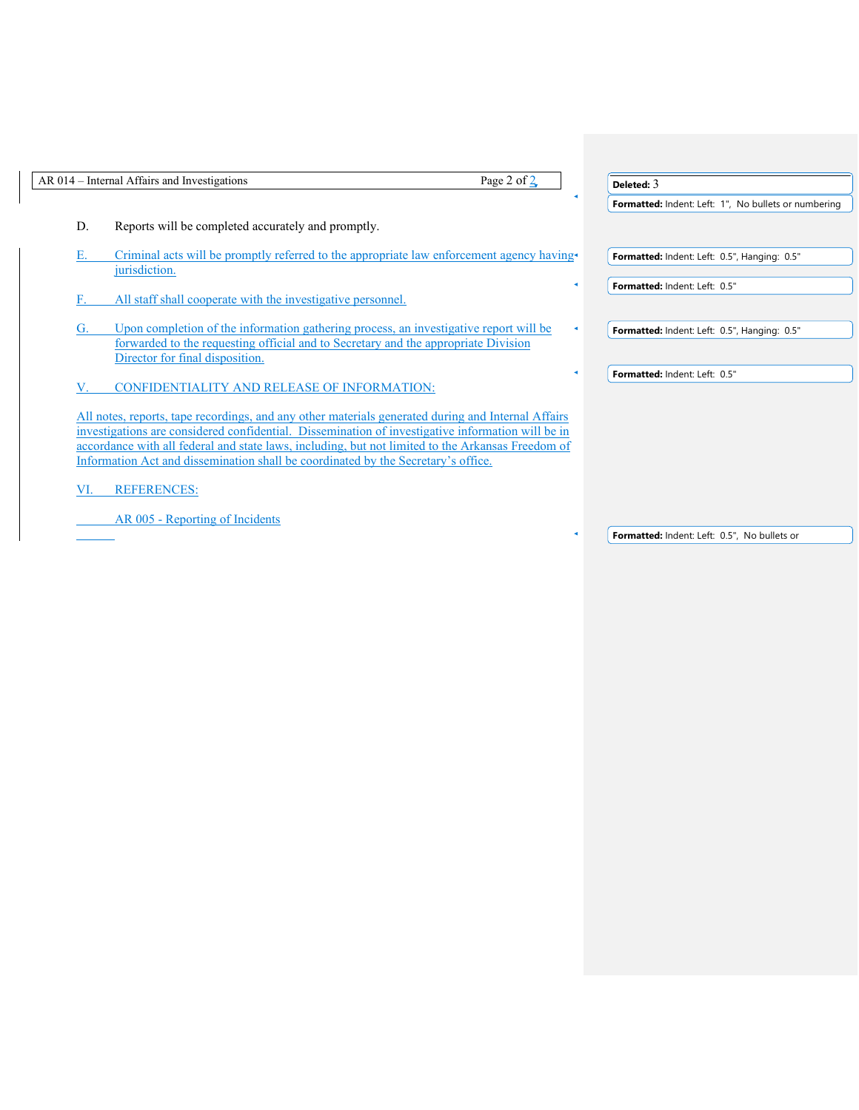|     | Page 2 of $2$<br>AR 014 – Internal Affairs and Investigations                                                                                                                                                                                                                                                                                                                                     | Deleted: $3$                                         |
|-----|---------------------------------------------------------------------------------------------------------------------------------------------------------------------------------------------------------------------------------------------------------------------------------------------------------------------------------------------------------------------------------------------------|------------------------------------------------------|
|     |                                                                                                                                                                                                                                                                                                                                                                                                   | Formatted: Indent: Left: 1", No bullets or numbering |
| D.  | Reports will be completed accurately and promptly.                                                                                                                                                                                                                                                                                                                                                |                                                      |
|     | Criminal acts will be promptly referred to the appropriate law enforcement agency having<br>jurisdiction.                                                                                                                                                                                                                                                                                         | Formatted: Indent: Left: 0.5", Hanging: 0.5"         |
| F.  | All staff shall cooperate with the investigative personnel.                                                                                                                                                                                                                                                                                                                                       | Formatted: Indent: Left: 0.5"                        |
| G.  | Upon completion of the information gathering process, an investigative report will be<br>forwarded to the requesting official and to Secretary and the appropriate Division<br>Director for final disposition.                                                                                                                                                                                    | Formatted: Indent: Left: 0.5", Hanging: 0.5"         |
| V.  | <b>CONFIDENTIALITY AND RELEASE OF INFORMATION:</b>                                                                                                                                                                                                                                                                                                                                                | Formatted: Indent: Left: 0.5"                        |
|     | All notes, reports, tape recordings, and any other materials generated during and Internal Affairs<br>investigations are considered confidential. Dissemination of investigative information will be in<br>accordance with all federal and state laws, including, but not limited to the Arkansas Freedom of<br>Information Act and dissemination shall be coordinated by the Secretary's office. |                                                      |
| VI. | <b>REFERENCES:</b>                                                                                                                                                                                                                                                                                                                                                                                |                                                      |
|     | AR 005 - Reporting of Incidents                                                                                                                                                                                                                                                                                                                                                                   |                                                      |
|     |                                                                                                                                                                                                                                                                                                                                                                                                   | Formatted: Indent: Left: 0.5", No bullets or         |